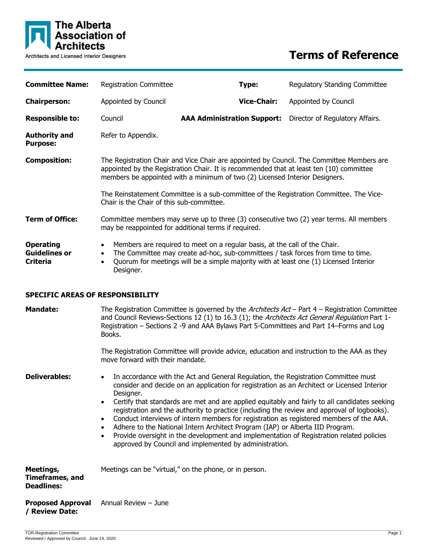

# **Terms of Reference**

| <b>Committee Name:</b>                                      | <b>Registration Committee</b>                                                                                                                                                                                                                                                                                                                                                                               | Type:                                                                                                                                                                                                                                                                                                                                                                                                                         | Regulatory Standing Committee                                                                 |
|-------------------------------------------------------------|-------------------------------------------------------------------------------------------------------------------------------------------------------------------------------------------------------------------------------------------------------------------------------------------------------------------------------------------------------------------------------------------------------------|-------------------------------------------------------------------------------------------------------------------------------------------------------------------------------------------------------------------------------------------------------------------------------------------------------------------------------------------------------------------------------------------------------------------------------|-----------------------------------------------------------------------------------------------|
| <b>Chairperson:</b>                                         | Appointed by Council                                                                                                                                                                                                                                                                                                                                                                                        | <b>Vice-Chair:</b>                                                                                                                                                                                                                                                                                                                                                                                                            | Appointed by Council                                                                          |
| <b>Responsible to:</b>                                      | Council                                                                                                                                                                                                                                                                                                                                                                                                     | <b>AAA Administration Support:</b>                                                                                                                                                                                                                                                                                                                                                                                            | Director of Regulatory Affairs.                                                               |
| <b>Authority and</b><br><b>Purpose:</b>                     | Refer to Appendix.                                                                                                                                                                                                                                                                                                                                                                                          |                                                                                                                                                                                                                                                                                                                                                                                                                               |                                                                                               |
| <b>Composition:</b>                                         | The Registration Chair and Vice Chair are appointed by Council. The Committee Members are<br>appointed by the Registration Chair. It is recommended that at least ten (10) committee<br>members be appointed with a minimum of two (2) Licensed Interior Designers.<br>The Reinstatement Committee is a sub-committee of the Registration Committee. The Vice-<br>Chair is the Chair of this sub-committee. |                                                                                                                                                                                                                                                                                                                                                                                                                               |                                                                                               |
|                                                             |                                                                                                                                                                                                                                                                                                                                                                                                             |                                                                                                                                                                                                                                                                                                                                                                                                                               |                                                                                               |
| <b>Term of Office:</b>                                      | Committee members may serve up to three (3) consecutive two (2) year terms. All members<br>may be reappointed for additional terms if required.                                                                                                                                                                                                                                                             |                                                                                                                                                                                                                                                                                                                                                                                                                               |                                                                                               |
| <b>Operating</b><br><b>Guidelines or</b><br><b>Criteria</b> | Members are required to meet on a regular basis, at the call of the Chair.<br>$\bullet$<br>The Committee may create ad-hoc, sub-committees / task forces from time to time.<br>$\bullet$<br>Quorum for meetings will be a simple majority with at least one (1) Licensed Interior<br>$\bullet$<br>Designer.                                                                                                 |                                                                                                                                                                                                                                                                                                                                                                                                                               |                                                                                               |
| <b>SPECIFIC AREAS OF RESPONSIBILITY</b>                     |                                                                                                                                                                                                                                                                                                                                                                                                             |                                                                                                                                                                                                                                                                                                                                                                                                                               |                                                                                               |
| <b>Mandate:</b>                                             | The Registration Committee is governed by the Architects Act - Part $4$ - Registration Committee<br>and Council Reviews-Sections 12 (1) to 16.3 (1); the Architects Act General Regulation Part 1-<br>Registration - Sections 2 -9 and AAA Bylaws Part 5-Committees and Part 14–Forms and Log<br>Books.                                                                                                     |                                                                                                                                                                                                                                                                                                                                                                                                                               |                                                                                               |
|                                                             | move forward with their mandate.                                                                                                                                                                                                                                                                                                                                                                            | The Registration Committee will provide advice, education and instruction to the AAA as they                                                                                                                                                                                                                                                                                                                                  |                                                                                               |
| <b>Deliverables:</b>                                        | $\bullet$<br>Designer.                                                                                                                                                                                                                                                                                                                                                                                      | In accordance with the Act and General Regulation, the Registration Committee must<br>consider and decide on an application for registration as an Architect or Licensed Interior                                                                                                                                                                                                                                             |                                                                                               |
|                                                             | $\bullet$<br>$\bullet$<br>$\bullet$                                                                                                                                                                                                                                                                                                                                                                         | registration and the authority to practice (including the review and approval of logbooks).<br>Conduct interviews of intern members for registration as registered members of the AAA.<br>Adhere to the National Intern Architect Program (IAP) or Alberta IID Program.<br>Provide oversight in the development and implementation of Registration related policies<br>approved by Council and implemented by administration. | Certify that standards are met and are applied equitably and fairly to all candidates seeking |
| Meetings,<br>Timeframes, and<br><b>Deadlines:</b>           | Meetings can be "virtual," on the phone, or in person.                                                                                                                                                                                                                                                                                                                                                      |                                                                                                                                                                                                                                                                                                                                                                                                                               |                                                                                               |
| <b>Proposed Approval</b><br>/ Review Date:                  | Annual Review - June                                                                                                                                                                                                                                                                                                                                                                                        |                                                                                                                                                                                                                                                                                                                                                                                                                               |                                                                                               |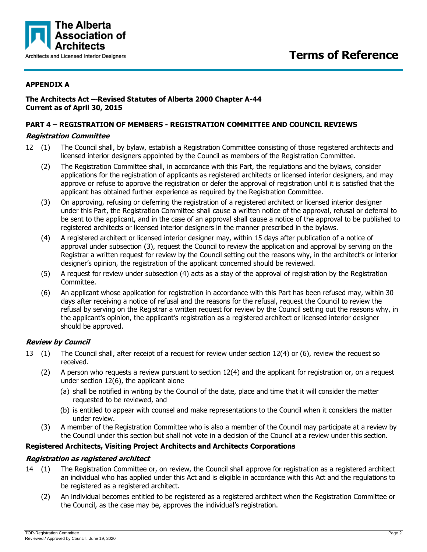

# **APPENDIX A**

# **The Architects Act – Revised Statutes of Alberta 2000 Chapter A-44 Current as of April 30, 2015**

## **PART 4 – REGISTRATION OF MEMBERS - REGISTRATION COMMITTEE AND COUNCIL REVIEWS**

## **Registration Committee**

- 12 (1) The Council shall, by bylaw, establish a Registration Committee consisting of those registered architects and licensed interior designers appointed by the Council as members of the Registration Committee.
	- (2) The Registration Committee shall, in accordance with this Part, the regulations and the bylaws, consider applications for the registration of applicants as registered architects or licensed interior designers, and may approve or refuse to approve the registration or defer the approval of registration until it is satisfied that the applicant has obtained further experience as required by the Registration Committee.
	- (3) On approving, refusing or deferring the registration of a registered architect or licensed interior designer under this Part, the Registration Committee shall cause a written notice of the approval, refusal or deferral to be sent to the applicant, and in the case of an approval shall cause a notice of the approval to be published to registered architects or licensed interior designers in the manner prescribed in the bylaws.
	- (4) A registered architect or licensed interior designer may, within 15 days after publication of a notice of approval under subsection (3), request the Council to review the application and approval by serving on the Registrar a written request for review by the Council setting out the reasons why, in the architect's or interior designer's opinion, the registration of the applicant concerned should be reviewed.
	- (5) A request for review under subsection (4) acts as a stay of the approval of registration by the Registration Committee.
	- (6) An applicant whose application for registration in accordance with this Part has been refused may, within 30 days after receiving a notice of refusal and the reasons for the refusal, request the Council to review the refusal by serving on the Registrar a written request for review by the Council setting out the reasons why, in the applicant's opinion, the applicant's registration as a registered architect or licensed interior designer should be approved.

# **Review by Council**

- 13 (1) The Council shall, after receipt of a request for review under section 12(4) or (6), review the request so received.
	- (2) A person who requests a review pursuant to section 12(4) and the applicant for registration or, on a request under section 12(6), the applicant alone
		- (a) shall be notified in writing by the Council of the date, place and time that it will consider the matter requested to be reviewed, and
		- (b) is entitled to appear with counsel and make representations to the Council when it considers the matter under review.
	- (3) A member of the Registration Committee who is also a member of the Council may participate at a review by the Council under this section but shall not vote in a decision of the Council at a review under this section.

### **Registered Architects, Visiting Project Architects and Architects Corporations**

# **Registration as registered architect**

- 14 (1) The Registration Committee or, on review, the Council shall approve for registration as a registered architect an individual who has applied under this Act and is eligible in accordance with this Act and the regulations to be registered as a registered architect.
	- (2) An individual becomes entitled to be registered as a registered architect when the Registration Committee or the Council, as the case may be, approves the individual's registration.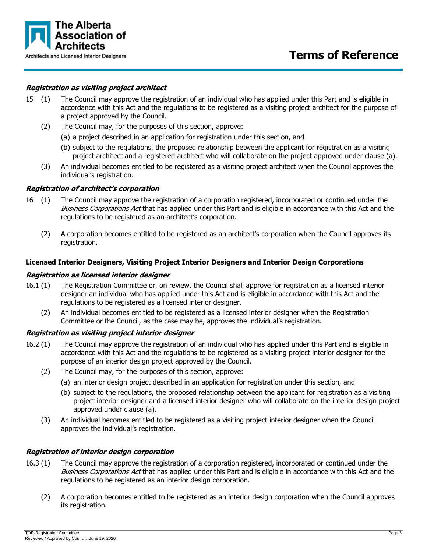

# **Registration as visiting project architect**

- 15 (1) The Council may approve the registration of an individual who has applied under this Part and is eligible in accordance with this Act and the regulations to be registered as a visiting project architect for the purpose of a project approved by the Council.
	- (2) The Council may, for the purposes of this section, approve:
		- (a) a project described in an application for registration under this section, and
		- (b) subject to the regulations, the proposed relationship between the applicant for registration as a visiting project architect and a registered architect who will collaborate on the project approved under clause (a).
	- (3) An individual becomes entitled to be registered as a visiting project architect when the Council approves the individual's registration.

## **Registration of architect's corporation**

- 16 (1) The Council may approve the registration of a corporation registered, incorporated or continued under the Business Corporations Act that has applied under this Part and is eligible in accordance with this Act and the regulations to be registered as an architect's corporation.
	- (2) A corporation becomes entitled to be registered as an architect's corporation when the Council approves its registration.

## **Licensed Interior Designers, Visiting Project Interior Designers and Interior Design Corporations**

### **Registration as licensed interior designer**

- 16.1 (1) The Registration Committee or, on review, the Council shall approve for registration as a licensed interior designer an individual who has applied under this Act and is eligible in accordance with this Act and the regulations to be registered as a licensed interior designer.
	- (2) An individual becomes entitled to be registered as a licensed interior designer when the Registration Committee or the Council, as the case may be, approves the individual's registration.

### **Registration as visiting project interior designer**

- 16.2 (1) The Council may approve the registration of an individual who has applied under this Part and is eligible in accordance with this Act and the regulations to be registered as a visiting project interior designer for the purpose of an interior design project approved by the Council.
	- (2) The Council may, for the purposes of this section, approve:
		- (a) an interior design project described in an application for registration under this section, and
		- (b) subject to the regulations, the proposed relationship between the applicant for registration as a visiting project interior designer and a licensed interior designer who will collaborate on the interior design project approved under clause (a).
	- (3) An individual becomes entitled to be registered as a visiting project interior designer when the Council approves the individual's registration.

# **Registration of interior design corporation**

- 16.3 (1) The Council may approve the registration of a corporation registered, incorporated or continued under the Business Corporations Act that has applied under this Part and is eligible in accordance with this Act and the regulations to be registered as an interior design corporation.
	- (2) A corporation becomes entitled to be registered as an interior design corporation when the Council approves its registration.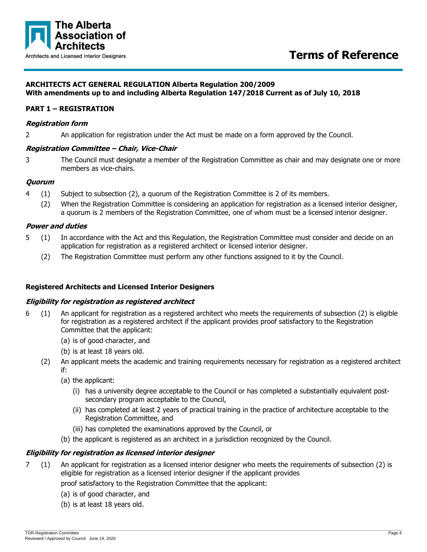

# **ARCHITECTS ACT GENERAL REGULATION Alberta Regulation 200/2009 With amendments up to and including Alberta Regulation 147/2018 Current as of July 10, 2018**

# **PART 1 – REGISTRATION**

### **Registration form**

2 An application for registration under the Act must be made on a form approved by the Council.

## **Registration Committee – Chair, Vice-Chair**

3 The Council must designate a member of the Registration Committee as chair and may designate one or more members as vice-chairs.

## **Quorum**

- 4 (1) Subject to subsection (2), a quorum of the Registration Committee is 2 of its members.
	- (2) When the Registration Committee is considering an application for registration as a licensed interior designer, a quorum is 2 members of the Registration Committee, one of whom must be a licensed interior designer.

## **Power and duties**

- 5 (1) In accordance with the Act and this Regulation, the Registration Committee must consider and decide on an application for registration as a registered architect or licensed interior designer.
	- (2) The Registration Committee must perform any other functions assigned to it by the Council.

# **Registered Architects and Licensed Interior Designers**

### **Eligibility for registration as registered architect**

- 6 (1) An applicant for registration as a registered architect who meets the requirements of subsection (2) is eligible for registration as a registered architect if the applicant provides proof satisfactory to the Registration Committee that the applicant:
	- (a) is of good character, and
	- (b) is at least 18 years old.
	- (2) An applicant meets the academic and training requirements necessary for registration as a registered architect if:
		- (a) the applicant:
			- (i) has a university degree acceptable to the Council or has completed a substantially equivalent postsecondary program acceptable to the Council,
			- (ii) has completed at least 2 years of practical training in the practice of architecture acceptable to the Registration Committee, and
			- (iii) has completed the examinations approved by the Council, or
		- (b) the applicant is registered as an architect in a jurisdiction recognized by the Council.

### **Eligibility for registration as licensed interior designer**

7 (1) An applicant for registration as a licensed interior designer who meets the requirements of subsection (2) is eligible for registration as a licensed interior designer if the applicant provides

proof satisfactory to the Registration Committee that the applicant:

- (a) is of good character, and
- (b) is at least 18 years old.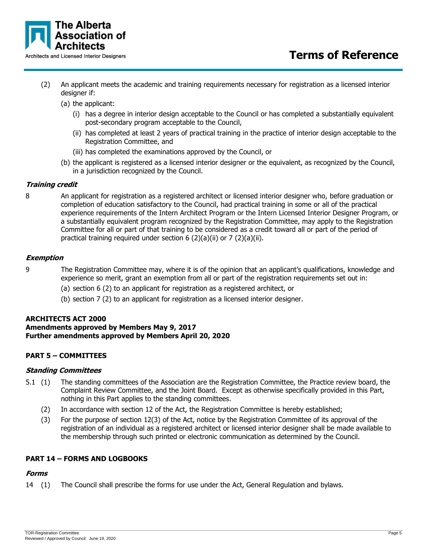

- (2) An applicant meets the academic and training requirements necessary for registration as a licensed interior designer if:
	- (a) the applicant:
		- (i) has a degree in interior design acceptable to the Council or has completed a substantially equivalent post-secondary program acceptable to the Council,
		- (ii) has completed at least 2 years of practical training in the practice of interior design acceptable to the Registration Committee, and
		- (iii) has completed the examinations approved by the Council, or
	- (b) the applicant is registered as a licensed interior designer or the equivalent, as recognized by the Council, in a jurisdiction recognized by the Council.

# **Training credit**

8 An applicant for registration as a registered architect or licensed interior designer who, before graduation or completion of education satisfactory to the Council, had practical training in some or all of the practical experience requirements of the Intern Architect Program or the Intern Licensed Interior Designer Program, or a substantially equivalent program recognized by the Registration Committee, may apply to the Registration Committee for all or part of that training to be considered as a credit toward all or part of the period of practical training required under section 6 (2)(a)(ii) or 7 (2)(a)(ii).

## **Exemption**

- 9 The Registration Committee may, where it is of the opinion that an applicant's qualifications, knowledge and experience so merit, grant an exemption from all or part of the registration requirements set out in:
	- (a) section 6 (2) to an applicant for registration as a registered architect, or
	- (b) section 7 (2) to an applicant for registration as a licensed interior designer.

### **ARCHITECTS ACT 2000**

# **Amendments approved by Members May 9, 2017 Further amendments approved by Members April 20, 2020**

# **PART 5 – COMMITTEES**

### **Standing Committees**

- 5.1 (1) The standing committees of the Association are the Registration Committee, the Practice review board, the Complaint Review Committee, and the Joint Board. Except as otherwise specifically provided in this Part, nothing in this Part applies to the standing committees.
	- (2) In accordance with section 12 of the Act, the Registration Committee is hereby established;
	- (3) For the purpose of section 12(3) of the Act, notice by the Registration Committee of its approval of the registration of an individual as a registered architect or licensed interior designer shall be made available to the membership through such printed or electronic communication as determined by the Council.

# **PART 14 – FORMS AND LOGBOOKS**

### **Forms**

14 (1) The Council shall prescribe the forms for use under the Act, General Regulation and bylaws.